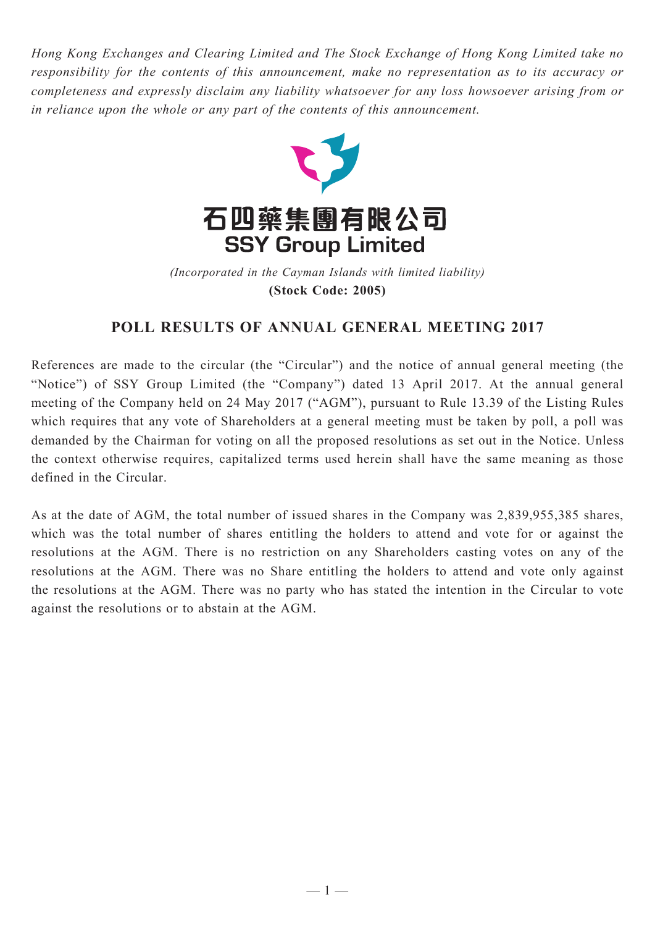*Hong Kong Exchanges and Clearing Limited and The Stock Exchange of Hong Kong Limited take no responsibility for the contents of this announcement, make no representation as to its accuracy or completeness and expressly disclaim any liability whatsoever for any loss howsoever arising from or in reliance upon the whole or any part of the contents of this announcement.*



(Incorporated in the Cayman Islands with limited liability) **(Stock Code: 2005)** *(Incorporated in the Cayman Islands with limited liability)* **(Stock Code: 2005)**

## **POLL RESULTS OF ANNUAL GENERAL MEETING 2017**

References are made to the circular (the "Circular") and the notice of annual general meeting (the "Notice") of SSY Group Limited (the "Company") dated 13 April 2017. At the annual general meeting of the Company held on 24 May 2017 ("AGM"), pursuant to Rule 13.39 of the Listing Rules which requires that any vote of Shareholders at a general meeting must be taken by poll, a poll was demanded by the Chairman for voting on all the proposed resolutions as set out in the Notice. Unless the context otherwise requires, capitalized terms used herein shall have the same meaning as those defined in the Circular.

As at the date of AGM, the total number of issued shares in the Company was 2,839,955,385 shares, which was the total number of shares entitling the holders to attend and vote for or against the resolutions at the AGM. There is no restriction on any Shareholders casting votes on any of the resolutions at the AGM. There was no Share entitling the holders to attend and vote only against the resolutions at the AGM. There was no party who has stated the intention in the Circular to vote against the resolutions or to abstain at the AGM.